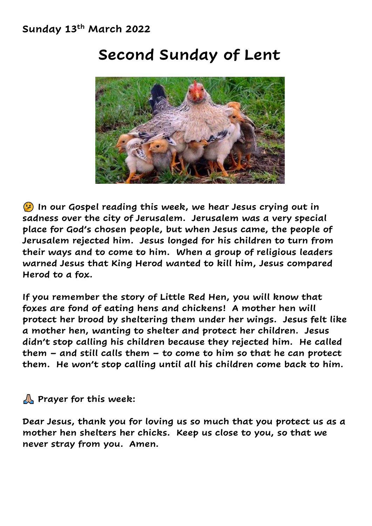

### **Second Sunday of Lent**

 **In our Gospel reading this week, we hear Jesus crying out in sadness over the city of Jerusalem. Jerusalem was a very special place for God's chosen people, but when Jesus came, the people of Jerusalem rejected him. Jesus longed for his children to turn from their ways and to come to him. When a group of religious leaders warned Jesus that King Herod wanted to kill him, Jesus compared Herod to a fox.** 

**If you remember the story of Little Red Hen, you will know that foxes are fond of eating hens and chickens! A mother hen will protect her brood by sheltering them under her wings. Jesus felt like a mother hen, wanting to shelter and protect her children. Jesus didn't stop calling his children because they rejected him. He called them – and still calls them – to come to him so that he can protect them. He won't stop calling until all his children come back to him.**

#### **A** Prayer for this week:

**Dear Jesus, thank you for loving us so much that you protect us as a mother hen shelters her chicks. Keep us close to you, so that we never stray from you. Amen.**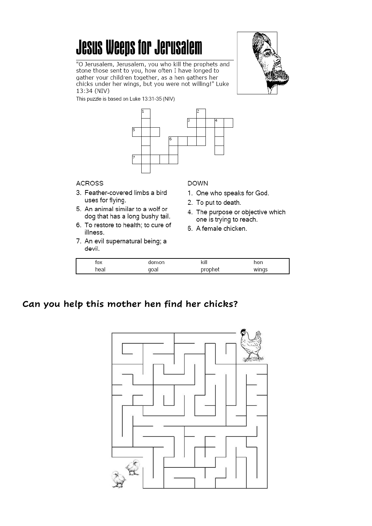## **Jesus Weeps for Jerusalem**

"O Jerusalem, Jerusalem, you who kill the prophets and stone those sent to you, how often I have longed to gather your children together, as a hen gathers her chicks under her wings, but you were not willing!" Luke 13:34 (NIV)



This puzzle is based on Luke 13:31-35 (NIV)



#### **ACROSS**

- 3. Feather-covered limbs a bird uses for flying.
- 5. An animal similar to a wolf or dog that has a long bushy tail.
- 6. To restore to health; to cure of illness.
- 7. An evil supernatural being; a devil.

#### **DOWN**

- 1. One who speaks for God.
- 2. To put to death.
- 4. The purpose or objective which one is trying to reach.
- 6. A female chicken.

| $\sim$<br>v |      | kill | nen |
|-------------|------|------|-----|
| hea         | 'oai |      |     |

#### Can you help this mother hen find her chicks?

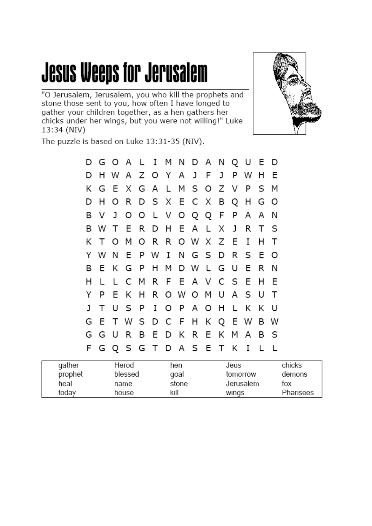# **Jesus Weeps for Jerusalem**

"O Jerusalem, Jerusalem, you who kill the prophets and<br>stone those sent to you, how often I have longed to gather your children together, as a hen gathers her chicks under her wings, but you were not willing!" Luke 13:34 (NIV)



The puzzle is based on Luke 13:31-35 (NIV).

|    |                               |  |  |  |  |  | G G U R B E D K R E K M A B S |   |   |  |
|----|-------------------------------|--|--|--|--|--|-------------------------------|---|---|--|
| G  |                               |  |  |  |  |  | E T W S D C F H K Q E W B W   |   |   |  |
| J. |                               |  |  |  |  |  | T U S P I O P A O H L K K U   |   |   |  |
| Y  |                               |  |  |  |  |  | P E K H R O W O M U A S U T   |   |   |  |
| н  | $\mathsf{L}$                  |  |  |  |  |  | L C M R F E A V C S E H E     |   |   |  |
| В  |                               |  |  |  |  |  | E K G P H M D W L G U E R N   |   |   |  |
|    |                               |  |  |  |  |  | Y W N E P W I N G S D R S E O |   |   |  |
| K  |                               |  |  |  |  |  | T O M O R R O W X Z E I       | H | ா |  |
|    |                               |  |  |  |  |  | B W T E R D H E A L X J R T S |   |   |  |
| В  |                               |  |  |  |  |  | V J O O L V O Q Q F P A A N   |   |   |  |
| D  |                               |  |  |  |  |  | H O R D S X E C X B Q H G O   |   |   |  |
|    |                               |  |  |  |  |  | K G E X G A L M S O Z V P S M |   |   |  |
| D  |                               |  |  |  |  |  | H W A Z O Y A J F J P W H E   |   |   |  |
|    | D G O A L I M N D A N Q U E D |  |  |  |  |  |                               |   |   |  |

| gather  | Herod   | hen   | Jeus      | chicks    |
|---------|---------|-------|-----------|-----------|
| prophet | blessed | goal  | tomorrow  | demons    |
| heal    | name    | stone | Jerusalem | tox       |
| today   | house   | kill  | wings     | Pharisees |